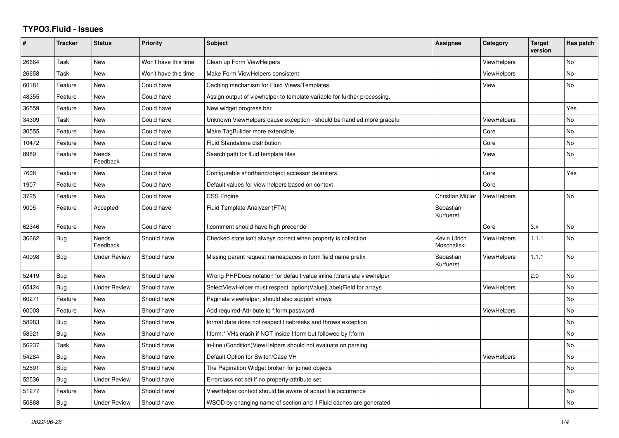## **TYPO3.Fluid - Issues**

| #     | <b>Tracker</b> | <b>Status</b>       | <b>Priority</b>      | <b>Subject</b>                                                           | Assignee                    | Category           | <b>Target</b><br>version | Has patch      |
|-------|----------------|---------------------|----------------------|--------------------------------------------------------------------------|-----------------------------|--------------------|--------------------------|----------------|
| 26664 | Task           | New                 | Won't have this time | Clean up Form ViewHelpers                                                |                             | <b>ViewHelpers</b> |                          | No             |
| 26658 | Task           | New                 | Won't have this time | Make Form ViewHelpers consistent                                         |                             | ViewHelpers        |                          | <b>No</b>      |
| 60181 | Feature        | New                 | Could have           | Caching mechanism for Fluid Views/Templates                              |                             | View               |                          | <b>No</b>      |
| 48355 | Feature        | <b>New</b>          | Could have           | Assign output of viewhelper to template variable for further processing. |                             |                    |                          |                |
| 36559 | Feature        | New                 | Could have           | New widget progress bar                                                  |                             |                    |                          | Yes            |
| 34309 | Task           | New                 | Could have           | Unknown ViewHelpers cause exception - should be handled more graceful    |                             | ViewHelpers        |                          | No             |
| 30555 | Feature        | New                 | Could have           | Make TagBuilder more extensible                                          |                             | Core               |                          | No             |
| 10472 | Feature        | New                 | Could have           | <b>Fluid Standalone distribution</b>                                     |                             | Core               |                          | No             |
| 8989  | Feature        | Needs<br>Feedback   | Could have           | Search path for fluid template files                                     |                             | View               |                          | <b>No</b>      |
| 7608  | Feature        | New                 | Could have           | Configurable shorthand/object accessor delimiters                        |                             | Core               |                          | Yes            |
| 1907  | Feature        | <b>New</b>          | Could have           | Default values for view helpers based on context                         |                             | Core               |                          |                |
| 3725  | Feature        | <b>New</b>          | Could have           | <b>CSS Engine</b>                                                        | Christian Müller            | <b>ViewHelpers</b> |                          | No             |
| 9005  | Feature        | Accepted            | Could have           | Fluid Template Analyzer (FTA)                                            | Sebastian<br>Kurfuerst      |                    |                          |                |
| 62346 | Feature        | New                 | Could have           | f:comment should have high precende                                      |                             | Core               | 3.x                      | No             |
| 36662 | Bug            | Needs<br>Feedback   | Should have          | Checked state isn't always correct when property is collection           | Kevin Ulrich<br>Moschallski | <b>ViewHelpers</b> | 1.1.1                    | <b>No</b>      |
| 40998 | Bug            | Under Review        | Should have          | Missing parent request namespaces in form field name prefix              | Sebastian<br>Kurfuerst      | ViewHelpers        | 1.1.1                    | N <sub>o</sub> |
| 52419 | <b>Bug</b>     | New                 | Should have          | Wrong PHPDocs notation for default value inline f:translate viewhelper   |                             |                    | 2.0                      | <b>No</b>      |
| 65424 | Bug            | Under Review        | Should have          | SelectViewHelper must respect option(Value Label)Field for arrays        |                             | ViewHelpers        |                          | No             |
| 60271 | Feature        | <b>New</b>          | Should have          | Paginate viewhelper, should also support arrays                          |                             |                    |                          | <b>No</b>      |
| 60003 | Feature        | New                 | Should have          | Add required-Attribute to f:form.password                                |                             | ViewHelpers        |                          | No             |
| 58983 | <b>Bug</b>     | <b>New</b>          | Should have          | format.date does not respect linebreaks and throws exception             |                             |                    |                          | <b>No</b>      |
| 58921 | Bug            | New                 | Should have          | f:form.* VHs crash if NOT inside f:form but followed by f:form           |                             |                    |                          | No             |
| 56237 | Task           | New                 | Should have          | in-line (Condition) View Helpers should not evaluate on parsing          |                             |                    |                          | <b>No</b>      |
| 54284 | Bug            | New                 | Should have          | Default Option for Switch/Case VH                                        |                             | ViewHelpers        |                          | No             |
| 52591 | <b>Bug</b>     | New                 | Should have          | The Pagination Widget broken for joined objects                          |                             |                    |                          | <b>No</b>      |
| 52536 | Bug            | <b>Under Review</b> | Should have          | Errorclass not set if no property-attribute set                          |                             |                    |                          |                |
| 51277 | Feature        | New                 | Should have          | ViewHelper context should be aware of actual file occurrence             |                             |                    |                          | <b>No</b>      |
| 50888 | Bug            | <b>Under Review</b> | Should have          | WSOD by changing name of section and if Fluid caches are generated       |                             |                    |                          | No.            |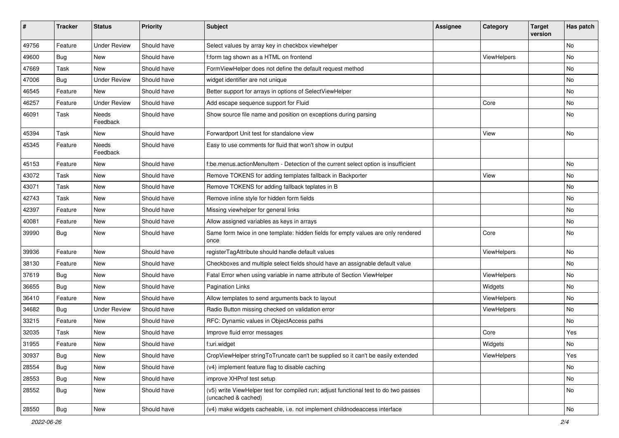| ∦     | <b>Tracker</b> | <b>Status</b>       | <b>Priority</b> | Subject                                                                                                     | Assignee | Category    | <b>Target</b><br>version | Has patch     |
|-------|----------------|---------------------|-----------------|-------------------------------------------------------------------------------------------------------------|----------|-------------|--------------------------|---------------|
| 49756 | Feature        | <b>Under Review</b> | Should have     | Select values by array key in checkbox viewhelper                                                           |          |             |                          | <b>No</b>     |
| 49600 | Bug            | New                 | Should have     | f:form tag shown as a HTML on frontend                                                                      |          | ViewHelpers |                          | No            |
| 47669 | Task           | New                 | Should have     | FormViewHelper does not define the default request method                                                   |          |             |                          | No            |
| 47006 | Bug            | <b>Under Review</b> | Should have     | widget identifier are not unique                                                                            |          |             |                          | No            |
| 46545 | Feature        | New                 | Should have     | Better support for arrays in options of SelectViewHelper                                                    |          |             |                          | No            |
| 46257 | Feature        | <b>Under Review</b> | Should have     | Add escape sequence support for Fluid                                                                       |          | Core        |                          | No            |
| 46091 | Task           | Needs<br>Feedback   | Should have     | Show source file name and position on exceptions during parsing                                             |          |             |                          | No            |
| 45394 | Task           | New                 | Should have     | Forwardport Unit test for standalone view                                                                   |          | View        |                          | No            |
| 45345 | Feature        | Needs<br>Feedback   | Should have     | Easy to use comments for fluid that won't show in output                                                    |          |             |                          |               |
| 45153 | Feature        | New                 | Should have     | f:be.menus.actionMenuItem - Detection of the current select option is insufficient                          |          |             |                          | No            |
| 43072 | Task           | New                 | Should have     | Remove TOKENS for adding templates fallback in Backporter                                                   |          | View        |                          | No            |
| 43071 | Task           | New                 | Should have     | Remove TOKENS for adding fallback teplates in B                                                             |          |             |                          | No            |
| 42743 | Task           | New                 | Should have     | Remove inline style for hidden form fields                                                                  |          |             |                          | No            |
| 42397 | Feature        | New                 | Should have     | Missing viewhelper for general links                                                                        |          |             |                          | No            |
| 40081 | Feature        | New                 | Should have     | Allow assigned variables as keys in arrays                                                                  |          |             |                          | No            |
| 39990 | <b>Bug</b>     | New                 | Should have     | Same form twice in one template: hidden fields for empty values are only rendered<br>once                   |          | Core        |                          | No            |
| 39936 | Feature        | <b>New</b>          | Should have     | registerTagAttribute should handle default values                                                           |          | ViewHelpers |                          | No            |
| 38130 | Feature        | New                 | Should have     | Checkboxes and multiple select fields should have an assignable default value                               |          |             |                          | No            |
| 37619 | Bug            | <b>New</b>          | Should have     | Fatal Error when using variable in name attribute of Section ViewHelper                                     |          | ViewHelpers |                          | No            |
| 36655 | <b>Bug</b>     | New                 | Should have     | <b>Pagination Links</b>                                                                                     |          | Widgets     |                          | No            |
| 36410 | Feature        | New                 | Should have     | Allow templates to send arguments back to layout                                                            |          | ViewHelpers |                          | No            |
| 34682 | Bug            | <b>Under Review</b> | Should have     | Radio Button missing checked on validation error                                                            |          | ViewHelpers |                          | No            |
| 33215 | Feature        | New                 | Should have     | RFC: Dynamic values in ObjectAccess paths                                                                   |          |             |                          | No            |
| 32035 | Task           | New                 | Should have     | Improve fluid error messages                                                                                |          | Core        |                          | Yes           |
| 31955 | Feature        | New                 | Should have     | f:uri.widget                                                                                                |          | Widgets     |                          | No            |
| 30937 | <b>Bug</b>     | New                 | Should have     | CropViewHelper stringToTruncate can't be supplied so it can't be easily extended                            |          | ViewHelpers |                          | Yes           |
| 28554 | Bug            | New                 | Should have     | (v4) implement feature flag to disable caching                                                              |          |             |                          | No            |
| 28553 | <b>Bug</b>     | New                 | Should have     | improve XHProf test setup                                                                                   |          |             |                          | No            |
| 28552 | <b>Bug</b>     | New                 | Should have     | (v5) write ViewHelper test for compiled run; adjust functional test to do two passes<br>(uncached & cached) |          |             |                          | No            |
| 28550 | <b>Bug</b>     | New                 | Should have     | (v4) make widgets cacheable, i.e. not implement childnodeaccess interface                                   |          |             |                          | $\mathsf{No}$ |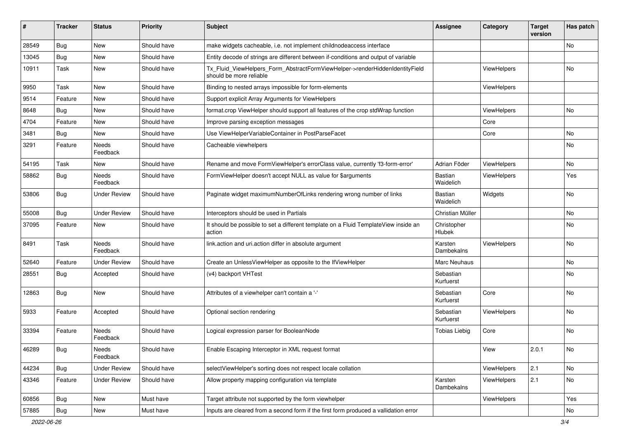| ∦     | <b>Tracker</b> | <b>Status</b>            | <b>Priority</b> | <b>Subject</b>                                                                                         | <b>Assignee</b>        | Category    | <b>Target</b><br>version | Has patch     |
|-------|----------------|--------------------------|-----------------|--------------------------------------------------------------------------------------------------------|------------------------|-------------|--------------------------|---------------|
| 28549 | Bug            | New                      | Should have     | make widgets cacheable, i.e. not implement childnodeaccess interface                                   |                        |             |                          | No            |
| 13045 | <b>Bug</b>     | New                      | Should have     | Entity decode of strings are different between if-conditions and output of variable                    |                        |             |                          |               |
| 10911 | Task           | New                      | Should have     | Tx_Fluid_ViewHelpers_Form_AbstractFormViewHelper->renderHiddenIdentityField<br>should be more reliable |                        | ViewHelpers |                          | No            |
| 9950  | Task           | <b>New</b>               | Should have     | Binding to nested arrays impossible for form-elements                                                  |                        | ViewHelpers |                          |               |
| 9514  | Feature        | New                      | Should have     | Support explicit Array Arguments for ViewHelpers                                                       |                        |             |                          |               |
| 8648  | Bug            | New                      | Should have     | format.crop ViewHelper should support all features of the crop stdWrap function                        |                        | ViewHelpers |                          | No            |
| 4704  | Feature        | New                      | Should have     | Improve parsing exception messages                                                                     |                        | Core        |                          |               |
| 3481  | Bug            | New                      | Should have     | Use ViewHelperVariableContainer in PostParseFacet                                                      |                        | Core        |                          | No            |
| 3291  | Feature        | Needs<br>Feedback        | Should have     | Cacheable viewhelpers                                                                                  |                        |             |                          | No            |
| 54195 | Task           | New                      | Should have     | Rename and move FormViewHelper's errorClass value, currently 'f3-form-error'                           | Adrian Föder           | ViewHelpers |                          | No            |
| 58862 | Bug            | Needs<br>Feedback        | Should have     | FormViewHelper doesn't accept NULL as value for \$arguments                                            | Bastian<br>Waidelich   | ViewHelpers |                          | Yes           |
| 53806 | Bug            | <b>Under Review</b>      | Should have     | Paginate widget maximumNumberOfLinks rendering wrong number of links                                   | Bastian<br>Waidelich   | Widgets     |                          | No            |
| 55008 | Bug            | <b>Under Review</b>      | Should have     | Interceptors should be used in Partials                                                                | Christian Müller       |             |                          | No            |
| 37095 | Feature        | New                      | Should have     | It should be possible to set a different template on a Fluid TemplateView inside an<br>action          | Christopher<br>Hlubek  |             |                          | No            |
| 8491  | Task           | <b>Needs</b><br>Feedback | Should have     | link.action and uri.action differ in absolute argument                                                 | Karsten<br>Dambekalns  | ViewHelpers |                          | No            |
| 52640 | Feature        | <b>Under Review</b>      | Should have     | Create an UnlessViewHelper as opposite to the IfViewHelper                                             | Marc Neuhaus           |             |                          | No            |
| 28551 | Bug            | Accepted                 | Should have     | (v4) backport VHTest                                                                                   | Sebastian<br>Kurfuerst |             |                          | No            |
| 12863 | Bug            | New                      | Should have     | Attributes of a viewhelper can't contain a '-'                                                         | Sebastian<br>Kurfuerst | Core        |                          | No            |
| 5933  | Feature        | Accepted                 | Should have     | Optional section rendering                                                                             | Sebastian<br>Kurfuerst | ViewHelpers |                          | No            |
| 33394 | Feature        | Needs<br>Feedback        | Should have     | Logical expression parser for BooleanNode                                                              | Tobias Liebig          | Core        |                          | No            |
| 46289 | Bug            | Needs<br>Feedback        | Should have     | Enable Escaping Interceptor in XML request format                                                      |                        | View        | 2.0.1                    | No            |
| 44234 | Bug            | <b>Under Review</b>      | Should have     | selectViewHelper's sorting does not respect locale collation                                           |                        | ViewHelpers | 2.1                      | No            |
| 43346 | Feature        | <b>Under Review</b>      | Should have     | Allow property mapping configuration via template                                                      | Karsten<br>Dambekalns  | ViewHelpers | 2.1                      | $\mathsf{No}$ |
| 60856 | Bug            | New                      | Must have       | Target attribute not supported by the form viewhelper                                                  |                        | ViewHelpers |                          | Yes           |
| 57885 | <b>Bug</b>     | New                      | Must have       | Inputs are cleared from a second form if the first form produced a vallidation error                   |                        |             |                          | No            |